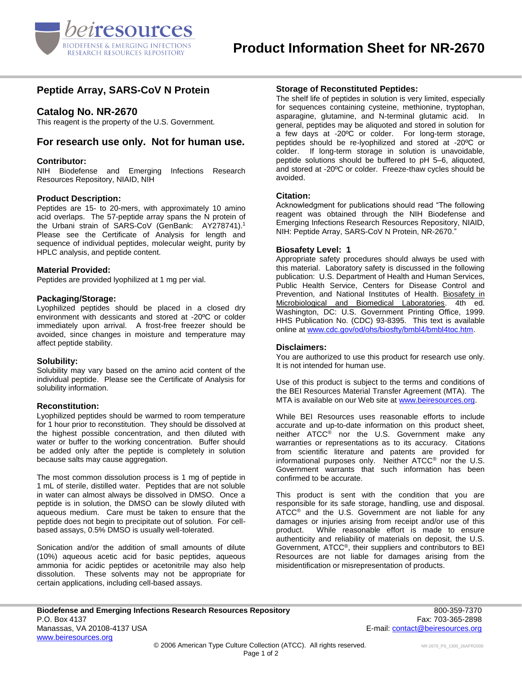

# **Peptide Array, SARS-CoV N Protein**

## **Catalog No. NR-2670**

This reagent is the property of the U.S. Government.

# **For research use only. Not for human use.**

## **Contributor:**

NIH Biodefense and Emerging Infections Research Resources Repository, NIAID, NIH

## **Product Description:**

Peptides are 15- to 20-mers, with approximately 10 amino acid overlaps. The 57-peptide array spans the N protein of the Urbani strain of SARS-CoV (GenBank: AY278741).<sup>1</sup> Please see the Certificate of Analysis for length and sequence of individual peptides, molecular weight, purity by HPLC analysis, and peptide content.

### **Material Provided:**

Peptides are provided lyophilized at 1 mg per vial.

### **Packaging/Storage:**

Lyophilized peptides should be placed in a closed dry environment with dessicants and stored at -20ºC or colder immediately upon arrival. A frost-free freezer should be avoided, since changes in moisture and temperature may affect peptide stability.

#### **Solubility:**

Solubility may vary based on the amino acid content of the individual peptide. Please see the Certificate of Analysis for solubility information.

#### **Reconstitution:**

Lyophilized peptides should be warmed to room temperature for 1 hour prior to reconstitution. They should be dissolved at the highest possible concentration, and then diluted with water or buffer to the working concentration. Buffer should be added only after the peptide is completely in solution because salts may cause aggregation.

The most common dissolution process is 1 mg of peptide in 1 mL of sterile, distilled water. Peptides that are not soluble in water can almost always be dissolved in DMSO. Once a peptide is in solution, the DMSO can be slowly diluted with aqueous medium. Care must be taken to ensure that the peptide does not begin to precipitate out of solution. For cellbased assays, 0.5% DMSO is usually well-tolerated.

Sonication and/or the addition of small amounts of dilute (10%) aqueous acetic acid for basic peptides, aqueous ammonia for acidic peptides or acetonitrile may also help dissolution. These solvents may not be appropriate for certain applications, including cell-based assays.

## **Storage of Reconstituted Peptides:**

The shelf life of peptides in solution is very limited, especially for sequences containing cysteine, methionine, tryptophan, asparagine, glutamine, and N-terminal glutamic acid. In general, peptides may be aliquoted and stored in solution for a few days at -20ºC or colder. For long-term storage, peptides should be re-lyophilized and stored at -20ºC or colder. If long-term storage in solution is unavoidable, peptide solutions should be buffered to pH 5–6, aliquoted, and stored at -20ºC or colder. Freeze-thaw cycles should be avoided.

## **Citation:**

Acknowledgment for publications should read "The following reagent was obtained through the NIH Biodefense and Emerging Infections Research Resources Repository, NIAID, NIH: Peptide Array, SARS-CoV N Protein, NR-2670."

## **Biosafety Level: 1**

Appropriate safety procedures should always be used with this material. Laboratory safety is discussed in the following publication: U.S. Department of Health and Human Services, Public Health Service, Centers for Disease Control and Prevention, and National Institutes of Health. Biosafety in Microbiological and Biomedical Laboratories. 4th ed. Washington, DC: U.S. Government Printing Office, 1999. HHS Publication No. (CDC) 93-8395. This text is available online a[t www.cdc.gov/od/ohs/biosfty/bmbl4/bmbl4toc.htm.](http://www.cdc.gov/od/ohs/biosfty/bmbl4/bmbl4toc.htm)

#### **Disclaimers:**

You are authorized to use this product for research use only. It is not intended for human use.

Use of this product is subject to the terms and conditions of the BEI Resources Material Transfer Agreement (MTA). The MTA is available on our Web site at [www.beiresources.org.](http://www.beiresources.org/)

While BEI Resources uses reasonable efforts to include accurate and up-to-date information on this product sheet, neither ATCC<sup>®</sup> nor the U.S. Government make any warranties or representations as to its accuracy. Citations from scientific literature and patents are provided for informational purposes only. Neither ATCC® nor the U.S. Government warrants that such information has been confirmed to be accurate.

This product is sent with the condition that you are responsible for its safe storage, handling, use and disposal. ATCC<sup>®</sup> and the U.S. Government are not liable for any damages or injuries arising from receipt and/or use of this product. While reasonable effort is made to ensure authenticity and reliability of materials on deposit, the U.S. Government, ATCC®, their suppliers and contributors to BEI Resources are not liable for damages arising from the misidentification or misrepresentation of products.